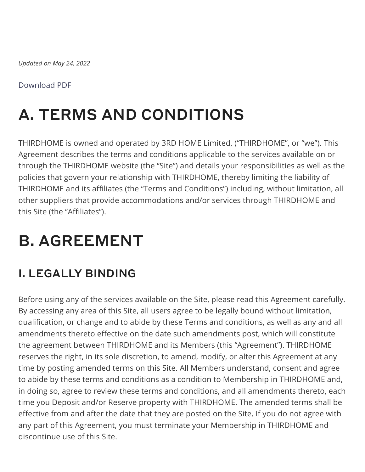*Updated on May 24, 2022*

### [Download PDF](https://www.thirdhome.com/wp-content/uploads/2022/02/terms-conditions-2.4.22.pdf)

# A. TERMS AND CONDITIONS

THIRDHOME is owned and operated by 3RD HOME Limited, ("THIRDHOME", or "we"). This Agreement describes the terms and conditions applicable to the services available on or through the THIRDHOME website (the "Site") and details your responsibilities as well as the policies that govern your relationship with THIRDHOME, thereby limiting the liability of THIRDHOME and its affiliates (the "Terms and Conditions") including, without limitation, all other suppliers that provide accommodations and/or services through THIRDHOME and this Site (the "Affiliates").

# B. AGREEMENT

# I. LEGALLY BINDING

Before using any of the services available on the Site, please read this Agreement carefully. By accessing any area of this Site, all users agree to be legally bound without limitation, qualification, or change and to abide by these Terms and conditions, as well as any and all amendments thereto effective on the date such amendments post, which will constitute the agreement between THIRDHOME and its Members (this "Agreement"). THIRDHOME reserves the right, in its sole discretion, to amend, modify, or alter this Agreement at any time by posting amended terms on this Site. All Members understand, consent and agree to abide by these terms and conditions as a condition to Membership in THIRDHOME and, in doing so, agree to review these terms and conditions, and all amendments thereto, each time you Deposit and/or Reserve property with THIRDHOME. The amended terms shall be effective from and after the date that they are posted on the Site. If you do not agree with any part of this Agreement, you must terminate your Membership in THIRDHOME and discontinue use of this Site.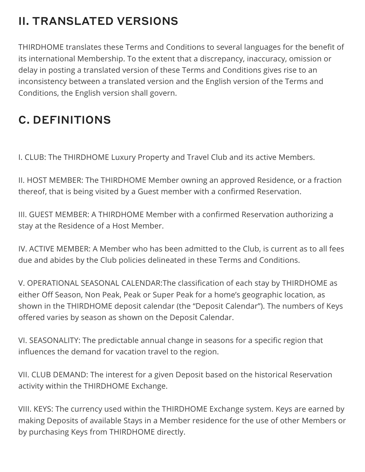# II. TRANSLATED VERSIONS

THIRDHOME translates these Terms and Conditions to several languages for the benefit of its international Membership. To the extent that a discrepancy, inaccuracy, omission or delay in posting a translated version of these Terms and Conditions gives rise to an inconsistency between a translated version and the English version of the Terms and Conditions, the English version shall govern.

# C. DEFINITIONS

I. CLUB: The THIRDHOME Luxury Property and Travel Club and its active Members.

II. HOST MEMBER: The THIRDHOME Member owning an approved Residence, or a fraction thereof, that is being visited by a Guest member with a confirmed Reservation.

III. GUEST MEMBER: A THIRDHOME Member with a confirmed Reservation authorizing a stay at the Residence of a Host Member.

IV. ACTIVE MEMBER: A Member who has been admitted to the Club, is current as to all fees due and abides by the Club policies delineated in these Terms and Conditions.

V. OPERATIONAL SEASONAL CALENDAR:The classification of each stay by THIRDHOME as either Off Season, Non Peak, Peak or Super Peak for a home's geographic location, as shown in the THIRDHOME deposit calendar (the "Deposit Calendar"). The numbers of Keys offered varies by season as shown on the Deposit Calendar.

VI. SEASONALITY: The predictable annual change in seasons for a specific region that influences the demand for vacation travel to the region.

VII. CLUB DEMAND: The interest for a given Deposit based on the historical Reservation activity within the THIRDHOME Exchange.

VIII. KEYS: The currency used within the THIRDHOME Exchange system. Keys are earned by making Deposits of available Stays in a Member residence for the use of other Members or by purchasing Keys from THIRDHOME directly.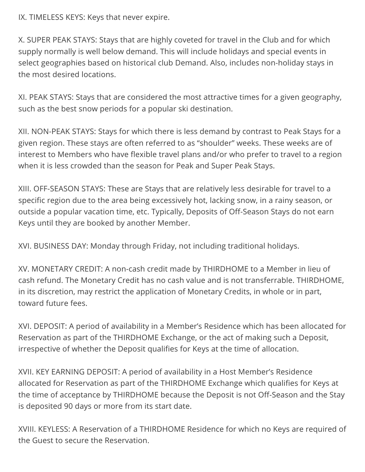IX. TIMELESS KEYS: Keys that never expire.

X. SUPER PEAK STAYS: Stays that are highly coveted for travel in the Club and for which supply normally is well below demand. This will include holidays and special events in select geographies based on historical club Demand. Also, includes non-holiday stays in the most desired locations.

XI. PEAK STAYS: Stays that are considered the most attractive times for a given geography, such as the best snow periods for a popular ski destination.

XII. NON-PEAK STAYS: Stays for which there is less demand by contrast to Peak Stays for a given region. These stays are often referred to as "shoulder" weeks. These weeks are of interest to Members who have flexible travel plans and/or who prefer to travel to a region when it is less crowded than the season for Peak and Super Peak Stays.

XIII. OFF-SEASON STAYS: These are Stays that are relatively less desirable for travel to a specific region due to the area being excessively hot, lacking snow, in a rainy season, or outside a popular vacation time, etc. Typically, Deposits of Off-Season Stays do not earn Keys until they are booked by another Member.

XVI. BUSINESS DAY: Monday through Friday, not including traditional holidays.

XV. MONETARY CREDIT: A non-cash credit made by THIRDHOME to a Member in lieu of cash refund. The Monetary Credit has no cash value and is not transferrable. THIRDHOME, in its discretion, may restrict the application of Monetary Credits, in whole or in part, toward future fees.

XVI. DEPOSIT: A period of availability in a Member's Residence which has been allocated for Reservation as part of the THIRDHOME Exchange, or the act of making such a Deposit, irrespective of whether the Deposit qualifies for Keys at the time of allocation.

XVII. KEY EARNING DEPOSIT: A period of availability in a Host Member's Residence allocated for Reservation as part of the THIRDHOME Exchange which qualifies for Keys at the time of acceptance by THIRDHOME because the Deposit is not Off-Season and the Stay is deposited 90 days or more from its start date.

XVIII. KEYLESS: A Reservation of a THIRDHOME Residence for which no Keys are required of the Guest to secure the Reservation.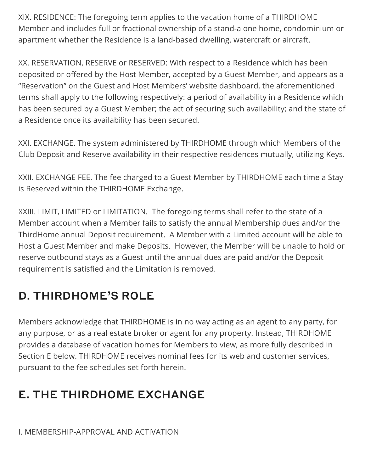XIX. RESIDENCE: The foregoing term applies to the vacation home of a THIRDHOME Member and includes full or fractional ownership of a stand-alone home, condominium or apartment whether the Residence is a land-based dwelling, watercraft or aircraft.

XX. RESERVATION, RESERVE or RESERVED: With respect to a Residence which has been deposited or offered by the Host Member, accepted by a Guest Member, and appears as a "Reservation" on the Guest and Host Members' website dashboard, the aforementioned terms shall apply to the following respectively: a period of availability in a Residence which has been secured by a Guest Member; the act of securing such availability; and the state of a Residence once its availability has been secured.

XXI. EXCHANGE. The system administered by THIRDHOME through which Members of the Club Deposit and Reserve availability in their respective residences mutually, utilizing Keys.

XXII. EXCHANGE FEE. The fee charged to a Guest Member by THIRDHOME each time a Stay is Reserved within the THIRDHOME Exchange.

XXIII. LIMIT, LIMITED or LIMITATION. The foregoing terms shall refer to the state of a Member account when a Member fails to satisfy the annual Membership dues and/or the ThirdHome annual Deposit requirement. A Member with a Limited account will be able to Host a Guest Member and make Deposits. However, the Member will be unable to hold or reserve outbound stays as a Guest until the annual dues are paid and/or the Deposit requirement is satisfied and the Limitation is removed.

## D. THIRDHOME'S ROLE

Members acknowledge that THIRDHOME is in no way acting as an agent to any party, for any purpose, or as a real estate broker or agent for any property. Instead, THIRDHOME provides a database of vacation homes for Members to view, as more fully described in Section E below. THIRDHOME receives nominal fees for its web and customer services, pursuant to the fee schedules set forth herein.

# E. THE THIRDHOME EXCHANGE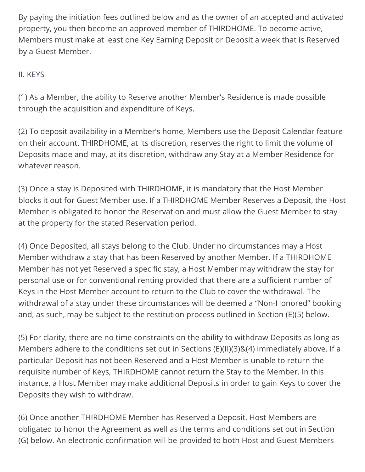By paying the initiation fees outlined below and as the owner of an accepted and activated property, you then become an approved member of THIRDHOME. To become active, Members must make at least one Key Earning Deposit or Deposit a week that is Reserved by a Guest Member.

### <span id="page-4-0"></span>II. [KEYS](#page-4-0)

(1) As a Member, the ability to Reserve another Member's Residence is made possible through the acquisition and expenditure of Keys.

(2) To deposit availability in a Member's home, Members use the Deposit Calendar feature on their account. THIRDHOME, at its discretion, reserves the right to limit the volume of Deposits made and may, at its discretion, withdraw any Stay at a Member Residence for whatever reason.

(3) Once a stay is Deposited with THIRDHOME, it is mandatory that the Host Member blocks it out for Guest Member use. If a THIRDHOME Member Reserves a Deposit, the Host Member is obligated to honor the Reservation and must allow the Guest Member to stay at the property for the stated Reservation period.

(4) Once Deposited, all stays belong to the Club. Under no circumstances may a Host Member withdraw a stay that has been Reserved by another Member. If a THIRDHOME Member has not yet Reserved a specific stay, a Host Member may withdraw the stay for personal use or for conventional renting provided that there are a sufficient number of Keys in the Host Member account to return to the Club to cover the withdrawal. The withdrawal of a stay under these circumstances will be deemed a "Non-Honored" booking and, as such, may be subject to the restitution process outlined in Section (E)(5) below.

(5) For clarity, there are no time constraints on the ability to withdraw Deposits as long as Members adhere to the conditions set out in Sections (E)(II)(3)&(4) immediately above. If a particular Deposit has not been Reserved and a Host Member is unable to return the requisite number of Keys, THIRDHOME cannot return the Stay to the Member. In this instance, a Host Member may make additional Deposits in order to gain Keys to cover the Deposits they wish to withdraw.

(6) Once another THIRDHOME Member has Reserved a Deposit, Host Members are obligated to honor the Agreement as well as the terms and conditions set out in Section (G) below. An electronic confirmation will be provided to both Host and Guest Members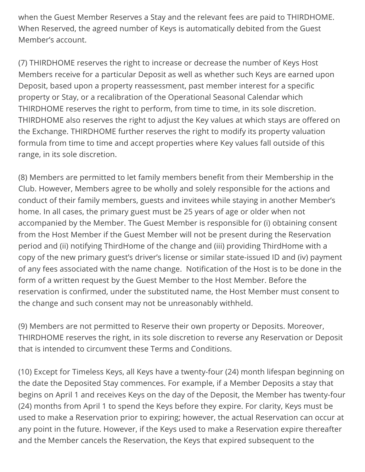when the Guest Member Reserves a Stay and the relevant fees are paid to THIRDHOME. When Reserved, the agreed number of Keys is automatically debited from the Guest Member's account.

(7) THIRDHOME reserves the right to increase or decrease the number of Keys Host Members receive for a particular Deposit as well as whether such Keys are earned upon Deposit, based upon a property reassessment, past member interest for a specific property or Stay, or a recalibration of the Operational Seasonal Calendar which THIRDHOME reserves the right to perform, from time to time, in its sole discretion. THIRDHOME also reserves the right to adjust the Key values at which stays are offered on the Exchange. THIRDHOME further reserves the right to modify its property valuation formula from time to time and accept properties where Key values fall outside of this range, in its sole discretion.

(8) Members are permitted to let family members benefit from their Membership in the Club. However, Members agree to be wholly and solely responsible for the actions and conduct of their family members, guests and invitees while staying in another Member's home. In all cases, the primary guest must be 25 years of age or older when not accompanied by the Member. The Guest Member is responsible for (i) obtaining consent from the Host Member if the Guest Member will not be present during the Reservation period and (ii) notifying ThirdHome of the change and (iii) providing ThirdHome with a copy of the new primary guest's driver's license or similar state-issued ID and (iv) payment of any fees associated with the name change. Notification of the Host is to be done in the form of a written request by the Guest Member to the Host Member. Before the reservation is confirmed, under the substituted name, the Host Member must consent to the change and such consent may not be unreasonably withheld.

(9) Members are not permitted to Reserve their own property or Deposits. Moreover, THIRDHOME reserves the right, in its sole discretion to reverse any Reservation or Deposit that is intended to circumvent these Terms and Conditions.

(10) Except for Timeless Keys, all Keys have a twenty-four (24) month lifespan beginning on the date the Deposited Stay commences. For example, if a Member Deposits a stay that begins on April 1 and receives Keys on the day of the Deposit, the Member has twenty-four (24) months from April 1 to spend the Keys before they expire. For clarity, Keys must be used to make a Reservation prior to expiring; however, the actual Reservation can occur at any point in the future. However, if the Keys used to make a Reservation expire thereafter and the Member cancels the Reservation, the Keys that expired subsequent to the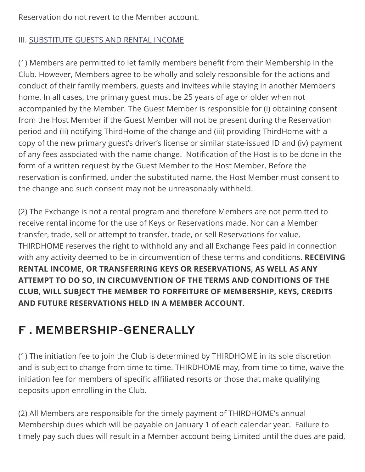Reservation do not revert to the Member account.

### <span id="page-6-0"></span>III. [SUBSTITUTE GUESTS AND RENTAL INCOME](#page-6-0)

(1) Members are permitted to let family members benefit from their Membership in the Club. However, Members agree to be wholly and solely responsible for the actions and conduct of their family members, guests and invitees while staying in another Member's home. In all cases, the primary guest must be 25 years of age or older when not accompanied by the Member. The Guest Member is responsible for (i) obtaining consent from the Host Member if the Guest Member will not be present during the Reservation period and (ii) notifying ThirdHome of the change and (iii) providing ThirdHome with a copy of the new primary guest's driver's license or similar state-issued ID and (iv) payment of any fees associated with the name change. Notification of the Host is to be done in the form of a written request by the Guest Member to the Host Member. Before the reservation is confirmed, under the substituted name, the Host Member must consent to the change and such consent may not be unreasonably withheld.

(2) The Exchange is not a rental program and therefore Members are not permitted to receive rental income for the use of Keys or Reservations made. Nor can a Member transfer, trade, sell or attempt to transfer, trade, or sell Reservations for value. THIRDHOME reserves the right to withhold any and all Exchange Fees paid in connection with any activity deemed to be in circumvention of these terms and conditions. **RECEIVING RENTAL INCOME, OR TRANSFERRING KEYS OR RESERVATIONS, AS WELL AS ANY ATTEMPT TO DO SO, IN CIRCUMVENTION OF THE TERMS AND CONDITIONS OF THE CLUB, WILL SUBJECT THE MEMBER TO FORFEITURE OF MEMBERSHIP, KEYS, CREDITS AND FUTURE RESERVATIONS HELD IN A MEMBER ACCOUNT.**

### F . MEMBERSHIP-GENERALLY

(1) The initiation fee to join the Club is determined by THIRDHOME in its sole discretion and is subject to change from time to time. THIRDHOME may, from time to time, waive the initiation fee for members of specific affiliated resorts or those that make qualifying deposits upon enrolling in the Club.

(2) All Members are responsible for the timely payment of THIRDHOME's annual Membership dues which will be payable on January 1 of each calendar year. Failure to timely pay such dues will result in a Member account being Limited until the dues are paid,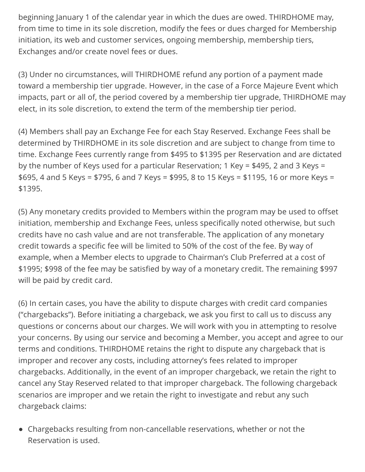beginning January 1 of the calendar year in which the dues are owed. THIRDHOME may, from time to time in its sole discretion, modify the fees or dues charged for Membership initiation, its web and customer services, ongoing membership, membership tiers, Exchanges and/or create novel fees or dues.

(3) Under no circumstances, will THIRDHOME refund any portion of a payment made toward a membership tier upgrade. However, in the case of a Force Majeure Event which impacts, part or all of, the period covered by a membership tier upgrade, THIRDHOME may elect, in its sole discretion, to extend the term of the membership tier period.

(4) Members shall pay an Exchange Fee for each Stay Reserved. Exchange Fees shall be determined by THIRDHOME in its sole discretion and are subject to change from time to time. Exchange Fees currently range from \$495 to \$1395 per Reservation and are dictated by the number of Keys used for a particular Reservation; 1 Key = \$495, 2 and 3 Keys = \$695, 4 and 5 Keys = \$795, 6 and 7 Keys = \$995, 8 to 15 Keys = \$1195, 16 or more Keys = \$1395.

(5) Any monetary credits provided to Members within the program may be used to offset initiation, membership and Exchange Fees, unless specifically noted otherwise, but such credits have no cash value and are not transferable. The application of any monetary credit towards a specific fee will be limited to 50% of the cost of the fee. By way of example, when a Member elects to upgrade to Chairman's Club Preferred at a cost of \$1995; \$998 of the fee may be satisfied by way of a monetary credit. The remaining \$997 will be paid by credit card.

(6) In certain cases, you have the ability to dispute charges with credit card companies ("chargebacks"). Before initiating a chargeback, we ask you first to call us to discuss any questions or concerns about our charges. We will work with you in attempting to resolve your concerns. By using our service and becoming a Member, you accept and agree to our terms and conditions. THIRDHOME retains the right to dispute any chargeback that is improper and recover any costs, including attorney's fees related to improper chargebacks. Additionally, in the event of an improper chargeback, we retain the right to cancel any Stay Reserved related to that improper chargeback. The following chargeback scenarios are improper and we retain the right to investigate and rebut any such chargeback claims:

Chargebacks resulting from non-cancellable reservations, whether or not the Reservation is used.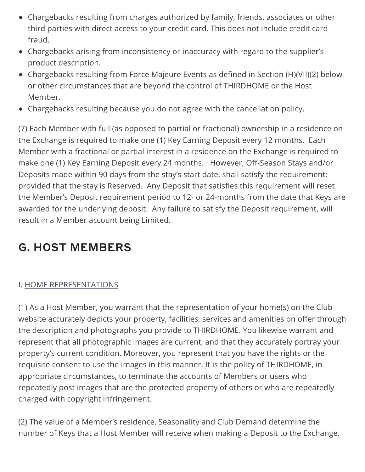- Chargebacks resulting from charges authorized by family, friends, associates or other third parties with direct access to your credit card. This does not include credit card fraud.
- Chargebacks arising from inconsistency or inaccuracy with regard to the supplier's product description.
- Chargebacks resulting from Force Majeure Events as defined in Section (H)(VII)(2) below or other circumstances that are beyond the control of THIRDHOME or the Host Member.
- Chargebacks resulting because you do not agree with the cancellation policy.

(7) Each Member with full (as opposed to partial or fractional) ownership in a residence on the Exchange is required to make one (1) Key Earning Deposit every 12 months. Each Member with a fractional or partial interest in a residence on the Exchange is required to make one (1) Key Earning Deposit every 24 months. However, Off-Season Stays and/or Deposits made within 90 days from the stay's start date, shall satisfy the requirement; provided that the stay is Reserved. Any Deposit that satisfies this requirement will reset the Member's Deposit requirement period to 12- or 24-months from the date that Keys are awarded for the underlying deposit. Any failure to satisfy the Deposit requirement, will result in a Member account being Limited.

# G. HOST MEMBERS

### <span id="page-8-0"></span>I. [HOME REPRESENTATIONS](#page-8-0)

(1) As a Host Member, you warrant that the representation of your home(s) on the Club website accurately depicts your property, facilities, services and amenities on offer through the description and photographs you provide to THIRDHOME. You likewise warrant and represent that all photographic images are current, and that they accurately portray your property's current condition. Moreover, you represent that you have the rights or the requisite consent to use the images in this manner. It is the policy of THIRDHOME, in appropriate circumstances, to terminate the accounts of Members or users who repeatedly post images that are the protected property of others or who are repeatedly charged with copyright infringement.

(2) The value of a Member's residence, Seasonality and Club Demand determine the number of Keys that a Host Member will receive when making a Deposit to the Exchange.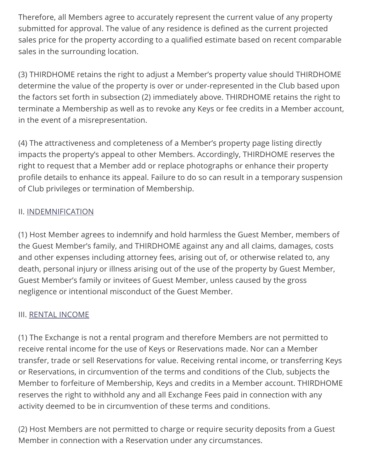Therefore, all Members agree to accurately represent the current value of any property submitted for approval. The value of any residence is defined as the current projected sales price for the property according to a qualified estimate based on recent comparable sales in the surrounding location.

(3) THIRDHOME retains the right to adjust a Member's property value should THIRDHOME determine the value of the property is over or under-represented in the Club based upon the factors set forth in subsection (2) immediately above. THIRDHOME retains the right to terminate a Membership as well as to revoke any Keys or fee credits in a Member account, in the event of a misrepresentation.

(4) The attractiveness and completeness of a Member's property page listing directly impacts the property's appeal to other Members. Accordingly, THIRDHOME reserves the right to request that a Member add or replace photographs or enhance their property profile details to enhance its appeal. Failure to do so can result in a temporary suspension of Club privileges or termination of Membership.

### <span id="page-9-0"></span>II. [INDEMNIFICATION](#page-9-0)

(1) Host Member agrees to indemnify and hold harmless the Guest Member, members of the Guest Member's family, and THIRDHOME against any and all claims, damages, costs and other expenses including attorney fees, arising out of, or otherwise related to, any death, personal injury or illness arising out of the use of the property by Guest Member, Guest Member's family or invitees of Guest Member, unless caused by the gross negligence or intentional misconduct of the Guest Member.

#### <span id="page-9-1"></span>III. [RENTAL INCOME](#page-9-1)

(1) The Exchange is not a rental program and therefore Members are not permitted to receive rental income for the use of Keys or Reservations made. Nor can a Member transfer, trade or sell Reservations for value. Receiving rental income, or transferring Keys or Reservations, in circumvention of the terms and conditions of the Club, subjects the Member to forfeiture of Membership, Keys and credits in a Member account. THIRDHOME reserves the right to withhold any and all Exchange Fees paid in connection with any activity deemed to be in circumvention of these terms and conditions.

(2) Host Members are not permitted to charge or require security deposits from a Guest Member in connection with a Reservation under any circumstances.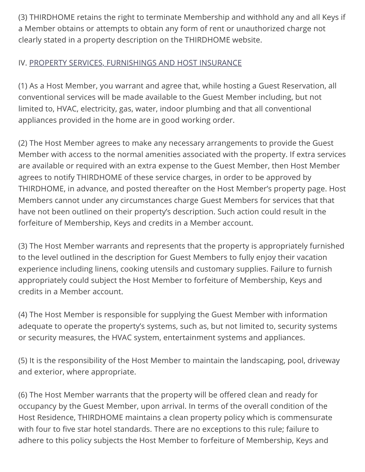(3) THIRDHOME retains the right to terminate Membership and withhold any and all Keys if a Member obtains or attempts to obtain any form of rent or unauthorized charge not clearly stated in a property description on the THIRDHOME website.

### <span id="page-10-0"></span>IV. [PROPERTY SERVICES, FURNISHINGS AND HOST INSURANCE](#page-10-0)

(1) As a Host Member, you warrant and agree that, while hosting a Guest Reservation, all conventional services will be made available to the Guest Member including, but not limited to, HVAC, electricity, gas, water, indoor plumbing and that all conventional appliances provided in the home are in good working order.

(2) The Host Member agrees to make any necessary arrangements to provide the Guest Member with access to the normal amenities associated with the property. If extra services are available or required with an extra expense to the Guest Member, then Host Member agrees to notify THIRDHOME of these service charges, in order to be approved by THIRDHOME, in advance, and posted thereafter on the Host Member's property page. Host Members cannot under any circumstances charge Guest Members for services that that have not been outlined on their property's description. Such action could result in the forfeiture of Membership, Keys and credits in a Member account.

(3) The Host Member warrants and represents that the property is appropriately furnished to the level outlined in the description for Guest Members to fully enjoy their vacation experience including linens, cooking utensils and customary supplies. Failure to furnish appropriately could subject the Host Member to forfeiture of Membership, Keys and credits in a Member account.

(4) The Host Member is responsible for supplying the Guest Member with information adequate to operate the property's systems, such as, but not limited to, security systems or security measures, the HVAC system, entertainment systems and appliances.

(5) It is the responsibility of the Host Member to maintain the landscaping, pool, driveway and exterior, where appropriate.

(6) The Host Member warrants that the property will be offered clean and ready for occupancy by the Guest Member, upon arrival. In terms of the overall condition of the Host Residence, THIRDHOME maintains a clean property policy which is commensurate with four to five star hotel standards. There are no exceptions to this rule; failure to adhere to this policy subjects the Host Member to forfeiture of Membership, Keys and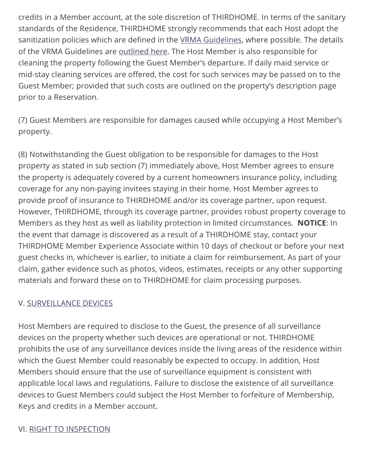credits in a Member account, at the sole discretion of THIRDHOME. In terms of the sanitary standards of the Residence, THIRDHOME strongly recommends that each Host adopt the sanitization policies which are defined in the [VRMA Guidelines](https://www.vrma.org/page/vrhp/vrma-cleaning-guidelines-for-covid-19), where possible. The details of the VRMA Guidelines are **outlined here.** The Host Member is also responsible for cleaning the property following the Guest Member's departure. If daily maid service or mid-stay cleaning services are offered, the cost for such services may be passed on to the Guest Member; provided that such costs are outlined on the property's description page prior to a Reservation.

(7) Guest Members are responsible for damages caused while occupying a Host Member's property.

(8) Notwithstanding the Guest obligation to be responsible for damages to the Host property as stated in sub section (7) immediately above, Host Member agrees to ensure the property is adequately covered by a current homeowners insurance policy, including coverage for any non-paying invitees staying in their home. Host Member agrees to provide proof of insurance to THIRDHOME and/or its coverage partner, upon request. However, THIRDHOME, through its coverage partner, provides robust property coverage to Members as they host as well as liability protection in limited circumstances. **NOTICE**: In the event that damage is discovered as a result of a THIRDHOME stay, contact your THIRDHOME Member Experience Associate within 10 days of checkout or before your next guest checks in, whichever is earlier, to initiate a claim for reimbursement. As part of your claim, gather evidence such as photos, videos, estimates, receipts or any other supporting materials and forward these on to THIRDHOME for claim processing purposes.

### <span id="page-11-0"></span>V. [SURVEILLANCE DEVICES](#page-11-0)

Host Members are required to disclose to the Guest, the presence of all surveillance devices on the property whether such devices are operational or not. THIRDHOME prohibits the use of any surveillance devices inside the living areas of the residence within which the Guest Member could reasonably be expected to occupy. In addition, Host Members should ensure that the use of surveillance equipment is consistent with applicable local laws and regulations. Failure to disclose the existence of all surveillance devices to Guest Members could subject the Host Member to forfeiture of Membership, Keys and credits in a Member account.

### <span id="page-11-1"></span>VI. [RIGHT TO INSPECTION](#page-11-1)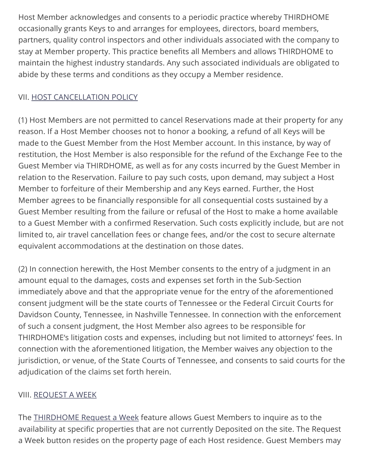Host Member acknowledges and consents to a periodic practice whereby THIRDHOME occasionally grants Keys to and arranges for employees, directors, board members, partners, quality control inspectors and other individuals associated with the company to stay at Member property. This practice benefits all Members and allows THIRDHOME to maintain the highest industry standards. Any such associated individuals are obligated to abide by these terms and conditions as they occupy a Member residence.

### <span id="page-12-0"></span>VII. [HOST CANCELLATION POLICY](#page-12-0)

(1) Host Members are not permitted to cancel Reservations made at their property for any reason. If a Host Member chooses not to honor a booking, a refund of all Keys will be made to the Guest Member from the Host Member account. In this instance, by way of restitution, the Host Member is also responsible for the refund of the Exchange Fee to the Guest Member via THIRDHOME, as well as for any costs incurred by the Guest Member in relation to the Reservation. Failure to pay such costs, upon demand, may subject a Host Member to forfeiture of their Membership and any Keys earned. Further, the Host Member agrees to be financially responsible for all consequential costs sustained by a Guest Member resulting from the failure or refusal of the Host to make a home available to a Guest Member with a confirmed Reservation. Such costs explicitly include, but are not limited to, air travel cancellation fees or change fees, and/or the cost to secure alternate equivalent accommodations at the destination on those dates.

(2) In connection herewith, the Host Member consents to the entry of a judgment in an amount equal to the damages, costs and expenses set forth in the Sub-Section immediately above and that the appropriate venue for the entry of the aforementioned consent judgment will be the state courts of Tennessee or the Federal Circuit Courts for Davidson County, Tennessee, in Nashville Tennessee. In connection with the enforcement of such a consent judgment, the Host Member also agrees to be responsible for THIRDHOME's litigation costs and expenses, including but not limited to attorneys' fees. In connection with the aforementioned litigation, the Member waives any objection to the jurisdiction, or venue, of the State Courts of Tennessee, and consents to said courts for the adjudication of the claims set forth herein.

#### <span id="page-12-1"></span>VIII. [REQUEST A WEEK](#page-12-1)

The [THIRDHOME Request a Week](https://www.thirdhome.com/terms-and-conditions/request-a-week/) feature allows Guest Members to inquire as to the availability at specific properties that are not currently Deposited on the site. The Request a Week button resides on the property page of each Host residence. Guest Members may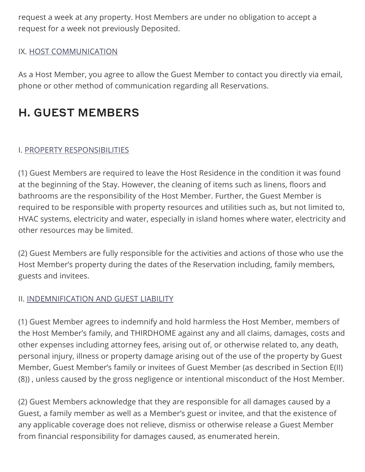request a week at any property. Host Members are under no obligation to accept a request for a week not previously Deposited.

### <span id="page-13-0"></span>IX. [HOST COMMUNICATION](#page-13-0)

As a Host Member, you agree to allow the Guest Member to contact you directly via email, phone or other method of communication regarding all Reservations.

### H. GUEST MEMBERS

### <span id="page-13-1"></span>I. [PROPERTY RESPONSIBILITIES](#page-13-1)

(1) Guest Members are required to leave the Host Residence in the condition it was found at the beginning of the Stay. However, the cleaning of items such as linens, floors and bathrooms are the responsibility of the Host Member. Further, the Guest Member is required to be responsible with property resources and utilities such as, but not limited to, HVAC systems, electricity and water, especially in island homes where water, electricity and other resources may be limited.

(2) Guest Members are fully responsible for the activities and actions of those who use the Host Member's property during the dates of the Reservation including, family members, guests and invitees.

### <span id="page-13-2"></span>II. [INDEMNIFICATION AND GUEST LIABILITY](#page-13-2)

(1) Guest Member agrees to indemnify and hold harmless the Host Member, members of the Host Member's family, and THIRDHOME against any and all claims, damages, costs and other expenses including attorney fees, arising out of, or otherwise related to, any death, personal injury, illness or property damage arising out of the use of the property by Guest Member, Guest Member's family or invitees of Guest Member (as described in Section E(II) (8)) , unless caused by the gross negligence or intentional misconduct of the Host Member.

(2) Guest Members acknowledge that they are responsible for all damages caused by a Guest, a family member as well as a Member's guest or invitee, and that the existence of any applicable coverage does not relieve, dismiss or otherwise release a Guest Member from financial responsibility for damages caused, as enumerated herein.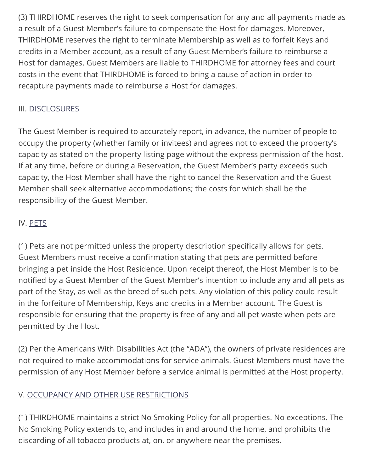(3) THIRDHOME reserves the right to seek compensation for any and all payments made as a result of a Guest Member's failure to compensate the Host for damages. Moreover, THIRDHOME reserves the right to terminate Membership as well as to forfeit Keys and credits in a Member account, as a result of any Guest Member's failure to reimburse a Host for damages. Guest Members are liable to THIRDHOME for attorney fees and court costs in the event that THIRDHOME is forced to bring a cause of action in order to recapture payments made to reimburse a Host for damages.

### <span id="page-14-0"></span>III. [DISCLOSURES](#page-14-0)

The Guest Member is required to accurately report, in advance, the number of people to occupy the property (whether family or invitees) and agrees not to exceed the property's capacity as stated on the property listing page without the express permission of the host. If at any time, before or during a Reservation, the Guest Member's party exceeds such capacity, the Host Member shall have the right to cancel the Reservation and the Guest Member shall seek alternative accommodations; the costs for which shall be the responsibility of the Guest Member.

### <span id="page-14-1"></span>IV. [PETS](#page-14-1)

(1) Pets are not permitted unless the property description specifically allows for pets. Guest Members must receive a confirmation stating that pets are permitted before bringing a pet inside the Host Residence. Upon receipt thereof, the Host Member is to be notified by a Guest Member of the Guest Member's intention to include any and all pets as part of the Stay, as well as the breed of such pets. Any violation of this policy could result in the forfeiture of Membership, Keys and credits in a Member account. The Guest is responsible for ensuring that the property is free of any and all pet waste when pets are permitted by the Host.

(2) Per the Americans With Disabilities Act (the "ADA"), the owners of private residences are not required to make accommodations for service animals. Guest Members must have the permission of any Host Member before a service animal is permitted at the Host property.

### <span id="page-14-2"></span>V. [OCCUPANCY AND OTHER USE RESTRICTIONS](#page-14-2)

(1) THIRDHOME maintains a strict No Smoking Policy for all properties. No exceptions. The No Smoking Policy extends to, and includes in and around the home, and prohibits the discarding of all tobacco products at, on, or anywhere near the premises.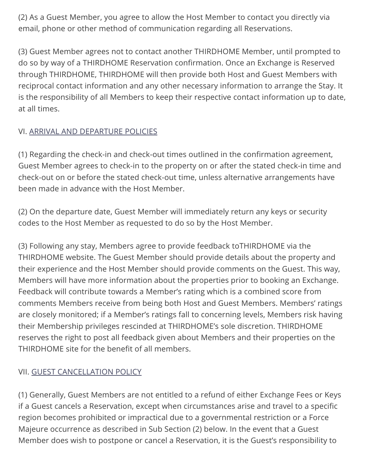(2) As a Guest Member, you agree to allow the Host Member to contact you directly via email, phone or other method of communication regarding all Reservations.

(3) Guest Member agrees not to contact another THIRDHOME Member, until prompted to do so by way of a THIRDHOME Reservation confirmation. Once an Exchange is Reserved through THIRDHOME, THIRDHOME will then provide both Host and Guest Members with reciprocal contact information and any other necessary information to arrange the Stay. It is the responsibility of all Members to keep their respective contact information up to date, at all times.

### <span id="page-15-0"></span>VI. [ARRIVAL AND DEPARTURE POLICIES](#page-15-0)

(1) Regarding the check-in and check-out times outlined in the confirmation agreement, Guest Member agrees to check-in to the property on or after the stated check-in time and check-out on or before the stated check-out time, unless alternative arrangements have been made in advance with the Host Member.

(2) On the departure date, Guest Member will immediately return any keys or security codes to the Host Member as requested to do so by the Host Member.

(3) Following any stay, Members agree to provide feedback toTHIRDHOME via the THIRDHOME website. The Guest Member should provide details about the property and their experience and the Host Member should provide comments on the Guest. This way, Members will have more information about the properties prior to booking an Exchange. Feedback will contribute towards a Member's rating which is a combined score from comments Members receive from being both Host and Guest Members. Members' ratings are closely monitored; if a Member's ratings fall to concerning levels, Members risk having their Membership privileges rescinded at THIRDHOME's sole discretion. THIRDHOME reserves the right to post all feedback given about Members and their properties on the THIRDHOME site for the benefit of all members.

### <span id="page-15-1"></span>VII. [GUEST CANCELLATION POLICY](#page-15-1)

(1) Generally, Guest Members are not entitled to a refund of either Exchange Fees or Keys if a Guest cancels a Reservation, except when circumstances arise and travel to a specific region becomes prohibited or impractical due to a governmental restriction or a Force Majeure occurrence as described in Sub Section (2) below. In the event that a Guest Member does wish to postpone or cancel a Reservation, it is the Guest's responsibility to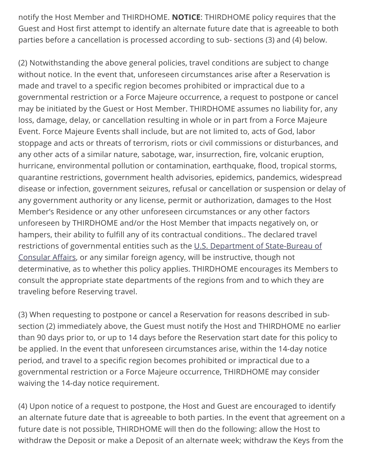notify the Host Member and THIRDHOME. **NOTICE**: THIRDHOME policy requires that the Guest and Host first attempt to identify an alternate future date that is agreeable to both parties before a cancellation is processed according to sub- sections (3) and (4) below.

(2) Notwithstanding the above general policies, travel conditions are subject to change without notice. In the event that, unforeseen circumstances arise after a Reservation is made and travel to a specific region becomes prohibited or impractical due to a governmental restriction or a Force Majeure occurrence, a request to postpone or cancel may be initiated by the Guest or Host Member. THIRDHOME assumes no liability for, any loss, damage, delay, or cancellation resulting in whole or in part from a Force Majeure Event. Force Majeure Events shall include, but are not limited to, acts of God, labor stoppage and acts or threats of terrorism, riots or civil commissions or disturbances, and any other acts of a similar nature, sabotage, war, insurrection, fire, volcanic eruption, hurricane, environmental pollution or contamination, earthquake, flood, tropical storms, quarantine restrictions, government health advisories, epidemics, pandemics, widespread disease or infection, government seizures, refusal or cancellation or suspension or delay of any government authority or any license, permit or authorization, damages to the Host Member's Residence or any other unforeseen circumstances or any other factors unforeseen by THIRDHOME and/or the Host Member that impacts negatively on, or hampers, their ability to fulfill any of its contractual conditions.. The declared travel [restrictions of governmental entities such as the U.S. Department of State-Bureau of](https://travel.state.gov/content/travel/en/traveladvisories/traveladvisories.html/) Consular Affairs, or any similar foreign agency, will be instructive, though not determinative, as to whether this policy applies. THIRDHOME encourages its Members to consult the appropriate state departments of the regions from and to which they are traveling before Reserving travel.

(3) When requesting to postpone or cancel a Reservation for reasons described in subsection (2) immediately above, the Guest must notify the Host and THIRDHOME no earlier than 90 days prior to, or up to 14 days before the Reservation start date for this policy to be applied. In the event that unforeseen circumstances arise, within the 14-day notice period, and travel to a specific region becomes prohibited or impractical due to a governmental restriction or a Force Majeure occurrence, THIRDHOME may consider waiving the 14-day notice requirement.

(4) Upon notice of a request to postpone, the Host and Guest are encouraged to identify an alternate future date that is agreeable to both parties. In the event that agreement on a future date is not possible, THIRDHOME will then do the following: allow the Host to withdraw the Deposit or make a Deposit of an alternate week; withdraw the Keys from the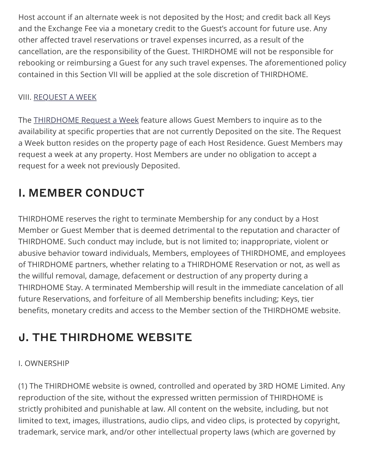Host account if an alternate week is not deposited by the Host; and credit back all Keys and the Exchange Fee via a monetary credit to the Guest's account for future use. Any other affected travel reservations or travel expenses incurred, as a result of the cancellation, are the responsibility of the Guest. THIRDHOME will not be responsible for rebooking or reimbursing a Guest for any such travel expenses. The aforementioned policy contained in this Section VII will be applied at the sole discretion of THIRDHOME.

### <span id="page-17-0"></span>VIII. [REQUEST A WEEK](#page-17-0)

The [THIRDHOME Request a Week](https://www.thirdhome.com/terms-and-conditions/request-a-week/) feature allows Guest Members to inquire as to the availability at specific properties that are not currently Deposited on the site. The Request a Week button resides on the property page of each Host Residence. Guest Members may request a week at any property. Host Members are under no obligation to accept a request for a week not previously Deposited.

## I. MEMBER CONDUCT

THIRDHOME reserves the right to terminate Membership for any conduct by a Host Member or Guest Member that is deemed detrimental to the reputation and character of THIRDHOME. Such conduct may include, but is not limited to; inappropriate, violent or abusive behavior toward individuals, Members, employees of THIRDHOME, and employees of THIRDHOME partners, whether relating to a THIRDHOME Reservation or not, as well as the willful removal, damage, defacement or destruction of any property during a THIRDHOME Stay. A terminated Membership will result in the immediate cancelation of all future Reservations, and forfeiture of all Membership benefits including; Keys, tier benefits, monetary credits and access to the Member section of the THIRDHOME website.

### J. THE THIRDHOME WEBSITE

### I. OWNERSHIP

(1) The THIRDHOME website is owned, controlled and operated by 3RD HOME Limited. Any reproduction of the site, without the expressed written permission of THIRDHOME is strictly prohibited and punishable at law. All content on the website, including, but not limited to text, images, illustrations, audio clips, and video clips, is protected by copyright, trademark, service mark, and/or other intellectual property laws (which are governed by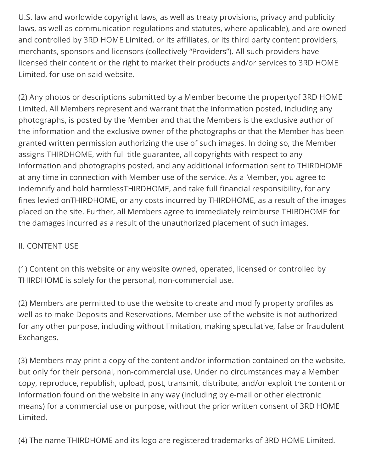U.S. law and worldwide copyright laws, as well as treaty provisions, privacy and publicity laws, as well as communication regulations and statutes, where applicable), and are owned and controlled by 3RD HOME Limited, or its affiliates, or its third party content providers, merchants, sponsors and licensors (collectively "Providers"). All such providers have licensed their content or the right to market their products and/or services to 3RD HOME Limited, for use on said website.

(2) Any photos or descriptions submitted by a Member become the propertyof 3RD HOME Limited. All Members represent and warrant that the information posted, including any photographs, is posted by the Member and that the Members is the exclusive author of the information and the exclusive owner of the photographs or that the Member has been granted written permission authorizing the use of such images. In doing so, the Member assigns THIRDHOME, with full title guarantee, all copyrights with respect to any information and photographs posted, and any additional information sent to THIRDHOME at any time in connection with Member use of the service. As a Member, you agree to indemnify and hold harmlessTHIRDHOME, and take full financial responsibility, for any fines levied onTHIRDHOME, or any costs incurred by THIRDHOME, as a result of the images placed on the site. Further, all Members agree to immediately reimburse THIRDHOME for the damages incurred as a result of the unauthorized placement of such images.

### II. CONTENT USE

(1) Content on this website or any website owned, operated, licensed or controlled by THIRDHOME is solely for the personal, non-commercial use.

(2) Members are permitted to use the website to create and modify property profiles as well as to make Deposits and Reservations. Member use of the website is not authorized for any other purpose, including without limitation, making speculative, false or fraudulent Exchanges.

(3) Members may print a copy of the content and/or information contained on the website, but only for their personal, non-commercial use. Under no circumstances may a Member copy, reproduce, republish, upload, post, transmit, distribute, and/or exploit the content or information found on the website in any way (including by e-mail or other electronic means) for a commercial use or purpose, without the prior written consent of 3RD HOME Limited.

(4) The name THIRDHOME and its logo are registered trademarks of 3RD HOME Limited.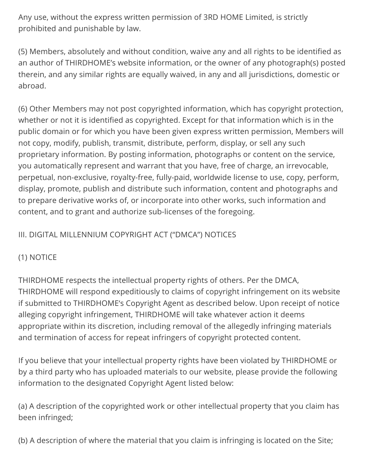Any use, without the express written permission of 3RD HOME Limited, is strictly prohibited and punishable by law.

(5) Members, absolutely and without condition, waive any and all rights to be identified as an author of THIRDHOME's website information, or the owner of any photograph(s) posted therein, and any similar rights are equally waived, in any and all jurisdictions, domestic or abroad.

(6) Other Members may not post copyrighted information, which has copyright protection, whether or not it is identified as copyrighted. Except for that information which is in the public domain or for which you have been given express written permission, Members will not copy, modify, publish, transmit, distribute, perform, display, or sell any such proprietary information. By posting information, photographs or content on the service, you automatically represent and warrant that you have, free of charge, an irrevocable, perpetual, non-exclusive, royalty-free, fully-paid, worldwide license to use, copy, perform, display, promote, publish and distribute such information, content and photographs and to prepare derivative works of, or incorporate into other works, such information and content, and to grant and authorize sub-licenses of the foregoing.

### III. DIGITAL MILLENNIUM COPYRIGHT ACT ("DMCA") NOTICES

### (1) NOTICE

THIRDHOME respects the intellectual property rights of others. Per the DMCA, THIRDHOME will respond expeditiously to claims of copyright infringement on its website if submitted to THIRDHOME's Copyright Agent as described below. Upon receipt of notice alleging copyright infringement, THIRDHOME will take whatever action it deems appropriate within its discretion, including removal of the allegedly infringing materials and termination of access for repeat infringers of copyright protected content.

If you believe that your intellectual property rights have been violated by THIRDHOME or by a third party who has uploaded materials to our website, please provide the following information to the designated Copyright Agent listed below:

(a) A description of the copyrighted work or other intellectual property that you claim has been infringed;

(b) A description of where the material that you claim is infringing is located on the Site;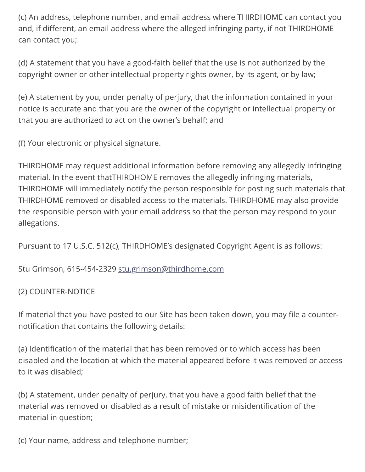(c) An address, telephone number, and email address where THIRDHOME can contact you and, if different, an email address where the alleged infringing party, if not THIRDHOME can contact you;

(d) A statement that you have a good-faith belief that the use is not authorized by the copyright owner or other intellectual property rights owner, by its agent, or by law;

(e) A statement by you, under penalty of perjury, that the information contained in your notice is accurate and that you are the owner of the copyright or intellectual property or that you are authorized to act on the owner's behalf; and

(f) Your electronic or physical signature.

THIRDHOME may request additional information before removing any allegedly infringing material. In the event thatTHIRDHOME removes the allegedly infringing materials, THIRDHOME will immediately notify the person responsible for posting such materials that THIRDHOME removed or disabled access to the materials. THIRDHOME may also provide the responsible person with your email address so that the person may respond to your allegations.

Pursuant to 17 U.S.C. 512(c), THIRDHOME's designated Copyright Agent is as follows:

Stu Grimson, 615-454-2329 [stu.grimson@thirdhome.com](mailto:stu.grimson@thirdhome.com)

(2) COUNTER-NOTICE

If material that you have posted to our Site has been taken down, you may file a counternotification that contains the following details:

(a) Identification of the material that has been removed or to which access has been disabled and the location at which the material appeared before it was removed or access to it was disabled;

(b) A statement, under penalty of perjury, that you have a good faith belief that the material was removed or disabled as a result of mistake or misidentification of the material in question;

(c) Your name, address and telephone number;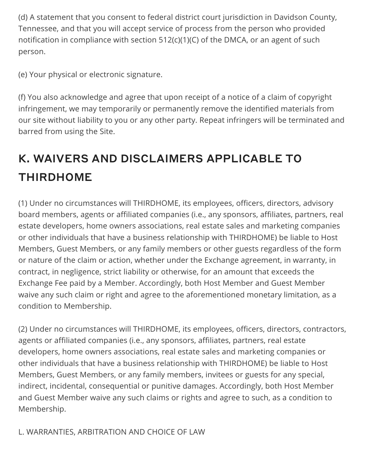(d) A statement that you consent to federal district court jurisdiction in Davidson County, Tennessee, and that you will accept service of process from the person who provided notification in compliance with section 512(c)(1)(C) of the DMCA, or an agent of such person.

(e) Your physical or electronic signature.

(f) You also acknowledge and agree that upon receipt of a notice of a claim of copyright infringement, we may temporarily or permanently remove the identified materials from our site without liability to you or any other party. Repeat infringers will be terminated and barred from using the Site.

# K. WAIVERS AND DISCLAIMERS APPLICABLE TO THIRDHOME

(1) Under no circumstances will THIRDHOME, its employees, officers, directors, advisory board members, agents or affiliated companies (i.e., any sponsors, affiliates, partners, real estate developers, home owners associations, real estate sales and marketing companies or other individuals that have a business relationship with THIRDHOME) be liable to Host Members, Guest Members, or any family members or other guests regardless of the form or nature of the claim or action, whether under the Exchange agreement, in warranty, in contract, in negligence, strict liability or otherwise, for an amount that exceeds the Exchange Fee paid by a Member. Accordingly, both Host Member and Guest Member waive any such claim or right and agree to the aforementioned monetary limitation, as a condition to Membership.

(2) Under no circumstances will THIRDHOME, its employees, officers, directors, contractors, agents or affiliated companies (i.e., any sponsors, affiliates, partners, real estate developers, home owners associations, real estate sales and marketing companies or other individuals that have a business relationship with THIRDHOME) be liable to Host Members, Guest Members, or any family members, invitees or guests for any special, indirect, incidental, consequential or punitive damages. Accordingly, both Host Member and Guest Member waive any such claims or rights and agree to such, as a condition to Membership.

L. WARRANTIES, ARBITRATION AND CHOICE OF LAW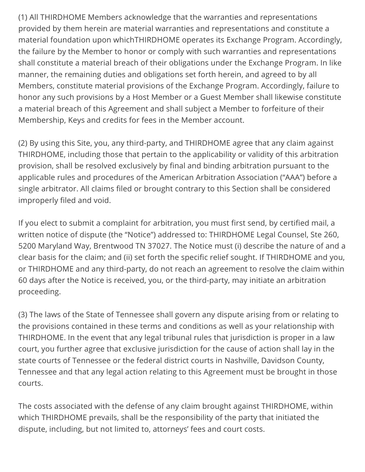(1) All THIRDHOME Members acknowledge that the warranties and representations provided by them herein are material warranties and representations and constitute a material foundation upon whichTHIRDHOME operates its Exchange Program. Accordingly, the failure by the Member to honor or comply with such warranties and representations shall constitute a material breach of their obligations under the Exchange Program. In like manner, the remaining duties and obligations set forth herein, and agreed to by all Members, constitute material provisions of the Exchange Program. Accordingly, failure to honor any such provisions by a Host Member or a Guest Member shall likewise constitute a material breach of this Agreement and shall subject a Member to forfeiture of their Membership, Keys and credits for fees in the Member account.

(2) By using this Site, you, any third-party, and THIRDHOME agree that any claim against THIRDHOME, including those that pertain to the applicability or validity of this arbitration provision, shall be resolved exclusively by final and binding arbitration pursuant to the applicable rules and procedures of the American Arbitration Association ("AAA") before a single arbitrator. All claims filed or brought contrary to this Section shall be considered improperly filed and void.

If you elect to submit a complaint for arbitration, you must first send, by certified mail, a written notice of dispute (the "Notice") addressed to: THIRDHOME Legal Counsel, Ste 260, 5200 Maryland Way, Brentwood TN 37027. The Notice must (i) describe the nature of and a clear basis for the claim; and (ii) set forth the specific relief sought. If THIRDHOME and you, or THIRDHOME and any third-party, do not reach an agreement to resolve the claim within 60 days after the Notice is received, you, or the third-party, may initiate an arbitration proceeding.

(3) The laws of the State of Tennessee shall govern any dispute arising from or relating to the provisions contained in these terms and conditions as well as your relationship with THIRDHOME. In the event that any legal tribunal rules that jurisdiction is proper in a law court, you further agree that exclusive jurisdiction for the cause of action shall lay in the state courts of Tennessee or the federal district courts in Nashville, Davidson County, Tennessee and that any legal action relating to this Agreement must be brought in those courts.

The costs associated with the defense of any claim brought against THIRDHOME, within which THIRDHOME prevails, shall be the responsibility of the party that initiated the dispute, including, but not limited to, attorneys' fees and court costs.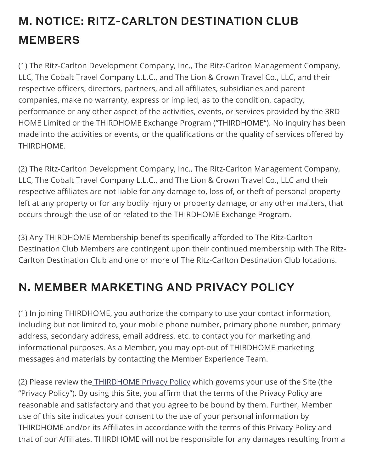# M. NOTICE: RITZ-CARLTON DESTINATION CLUB MEMBERS

(1) The Ritz-Carlton Development Company, Inc., The Ritz-Carlton Management Company, LLC, The Cobalt Travel Company L.L.C., and The Lion & Crown Travel Co., LLC, and their respective officers, directors, partners, and all affiliates, subsidiaries and parent companies, make no warranty, express or implied, as to the condition, capacity, performance or any other aspect of the activities, events, or services provided by the 3RD HOME Limited or the THIRDHOME Exchange Program ("THIRDHOME"). No inquiry has been made into the activities or events, or the qualifications or the quality of services offered by THIRDHOME.

(2) The Ritz-Carlton Development Company, Inc., The Ritz-Carlton Management Company, LLC, The Cobalt Travel Company L.L.C., and The Lion & Crown Travel Co., LLC and their respective affiliates are not liable for any damage to, loss of, or theft of personal property left at any property or for any bodily injury or property damage, or any other matters, that occurs through the use of or related to the THIRDHOME Exchange Program.

(3) Any THIRDHOME Membership benefits specifically afforded to The Ritz-Carlton Destination Club Members are contingent upon their continued membership with The Ritz-Carlton Destination Club and one or more of The Ritz-Carlton Destination Club locations.

# N. MEMBER MARKETING AND PRIVACY POLICY

(1) In joining THIRDHOME, you authorize the company to use your contact information, including but not limited to, your mobile phone number, primary phone number, primary address, secondary address, email address, etc. to contact you for marketing and informational purposes. As a Member, you may opt-out of THIRDHOME marketing messages and materials by contacting the Member Experience Team.

(2) Please review the [THIRDHOME Privacy Policy](https://www.thirdhome.com/privacy-policy/) which governs your use of the Site (the "Privacy Policy"). By using this Site, you affirm that the terms of the Privacy Policy are reasonable and satisfactory and that you agree to be bound by them. Further, Member use of this site indicates your consent to the use of your personal information by THIRDHOME and/or its Affiliates in accordance with the terms of this Privacy Policy and that of our Affiliates. THIRDHOME will not be responsible for any damages resulting from a